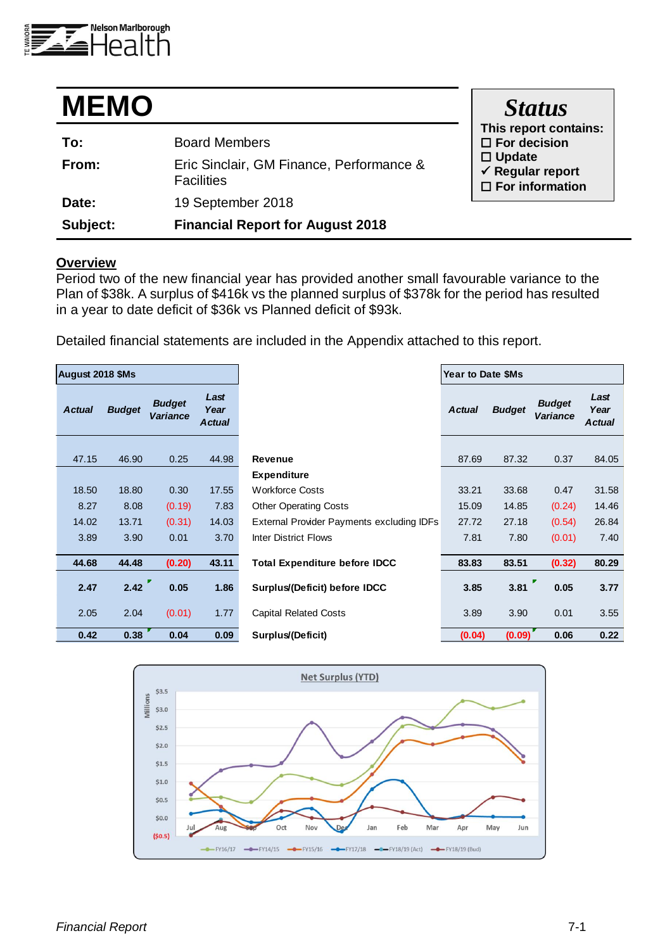

| <b>MEMO</b> |                                                               | <b>Status</b>                                                             |
|-------------|---------------------------------------------------------------|---------------------------------------------------------------------------|
| To:         | <b>Board Members</b>                                          | This report contains:<br>$\Box$ For decision                              |
| From:       | Eric Sinclair, GM Finance, Performance &<br><b>Facilities</b> | $\Box$ Update<br>$\checkmark$ Regular report<br>$\square$ For information |
| Date:       | 19 September 2018                                             |                                                                           |
| Subject:    | <b>Financial Report for August 2018</b>                       |                                                                           |

#### **Overview**

Period two of the new financial year has provided another small favourable variance to the Plan of \$38k. A surplus of \$416k vs the planned surplus of \$378k for the period has resulted in a year to date deficit of \$36k vs Planned deficit of \$93k.

Detailed financial statements are included in the Appendix attached to this report.

| <b>August 2018 \$Ms</b> |               |                                  |                               |                                           | Year to Date \$Ms |               |                                  |                               |  |  |  |
|-------------------------|---------------|----------------------------------|-------------------------------|-------------------------------------------|-------------------|---------------|----------------------------------|-------------------------------|--|--|--|
| <b>Actual</b>           | <b>Budget</b> | <b>Budget</b><br><b>Variance</b> | Last<br>Year<br><b>Actual</b> |                                           | <b>Actual</b>     | <b>Budget</b> | <b>Budget</b><br><b>Variance</b> | Last<br>Year<br><b>Actual</b> |  |  |  |
| 47.15                   | 46.90         | 0.25                             | 44.98                         | <b>Revenue</b>                            | 87.69             | 87.32         | 0.37                             | 84.05                         |  |  |  |
|                         |               |                                  |                               | <b>Expenditure</b>                        |                   |               |                                  |                               |  |  |  |
| 18.50                   | 18.80         | 0.30                             | 17.55                         | <b>Workforce Costs</b>                    | 33.21             | 33.68         | 0.47                             | 31.58                         |  |  |  |
| 8.27                    | 8.08          | (0.19)                           | 7.83                          | <b>Other Operating Costs</b>              | 15.09             | 14.85         | (0.24)                           | 14.46                         |  |  |  |
| 14.02                   | 13.71         | (0.31)                           | 14.03                         | External Provider Payments excluding IDFs | 27.72             | 27.18         | (0.54)                           | 26.84                         |  |  |  |
| 3.89                    | 3.90          | 0.01                             | 3.70                          | <b>Inter District Flows</b>               | 7.81              | 7.80          | (0.01)                           | 7.40                          |  |  |  |
| 44.68                   | 44.48         | (0.20)                           | 43.11                         | <b>Total Expenditure before IDCC</b>      | 83.83             | 83.51         | (0.32)                           | 80.29                         |  |  |  |
| 2.47                    | 2.42          | 0.05                             | 1.86                          | Surplus/(Deficit) before IDCC             | 3.85              | 3.81          | 0.05                             | 3.77                          |  |  |  |
| 2.05                    | 2.04          | (0.01)                           | 1.77                          | <b>Capital Related Costs</b>              | 3.89              | 3.90          | 0.01                             | 3.55                          |  |  |  |
| 0.42                    | 0.38          | 0.04                             | 0.09                          | Surplus/(Deficit)                         | (0.04)            | (0.09)        | 0.06                             | 0.22                          |  |  |  |

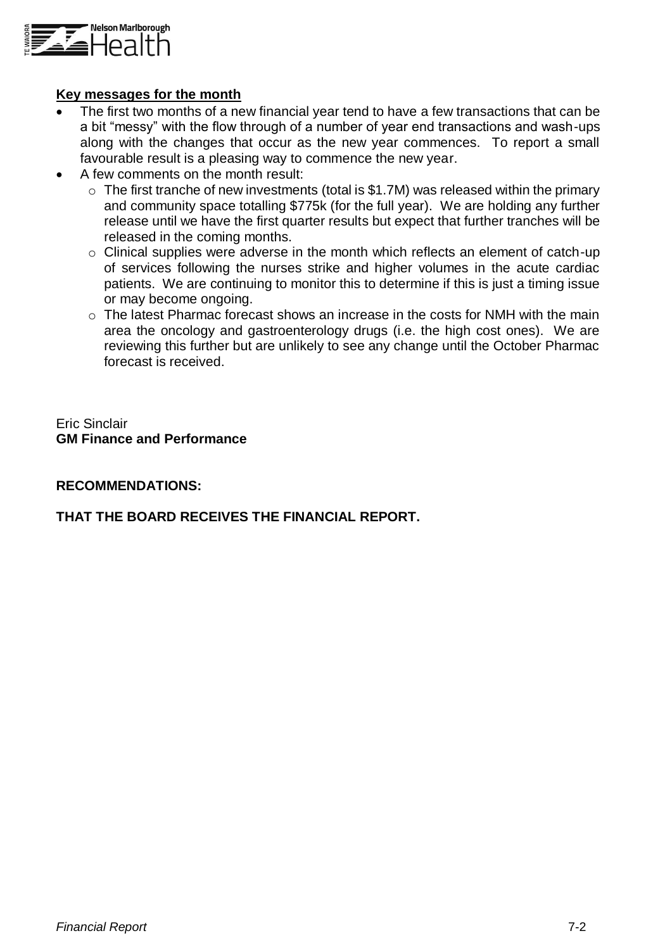

### **Key messages for the month**

- The first two months of a new financial year tend to have a few transactions that can be a bit "messy" with the flow through of a number of year end transactions and wash-ups along with the changes that occur as the new year commences. To report a small favourable result is a pleasing way to commence the new year.
- A few comments on the month result:
	- $\circ$  The first tranche of new investments (total is \$1.7M) was released within the primary and community space totalling \$775k (for the full year). We are holding any further release until we have the first quarter results but expect that further tranches will be released in the coming months.
	- o Clinical supplies were adverse in the month which reflects an element of catch-up of services following the nurses strike and higher volumes in the acute cardiac patients. We are continuing to monitor this to determine if this is just a timing issue or may become ongoing.
	- o The latest Pharmac forecast shows an increase in the costs for NMH with the main area the oncology and gastroenterology drugs (i.e. the high cost ones). We are reviewing this further but are unlikely to see any change until the October Pharmac forecast is received.

Eric Sinclair **GM Finance and Performance**

### **RECOMMENDATIONS:**

### **THAT THE BOARD RECEIVES THE FINANCIAL REPORT.**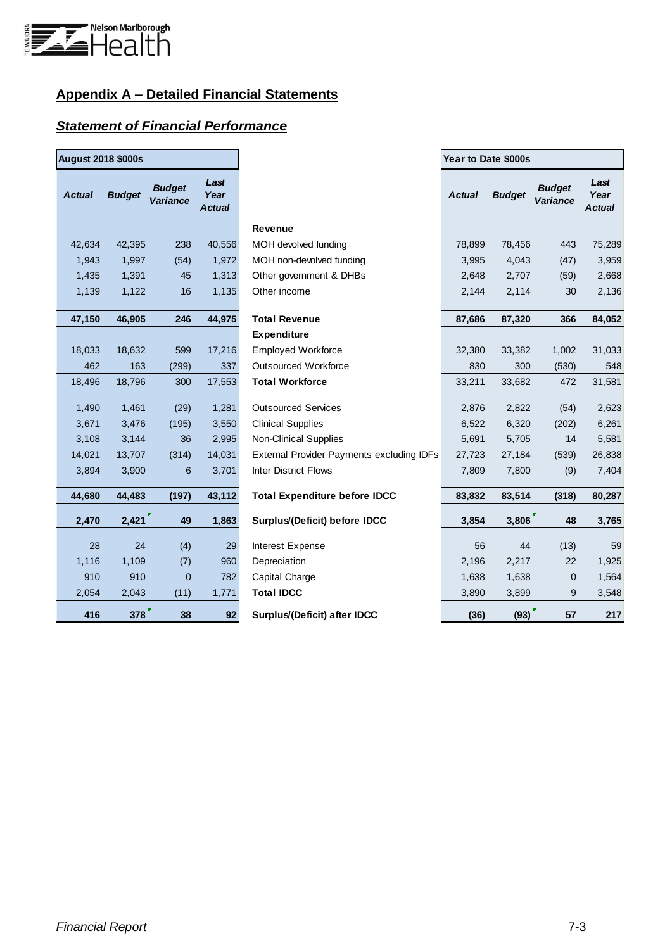

### **Appendix A – Detailed Financial Statements**

### *Statement of Financial Performance*

| <b>August 2018 \$000s</b> |               |                                  |                               |                                           | Year to Date \$000s |               |                                  |                               |  |
|---------------------------|---------------|----------------------------------|-------------------------------|-------------------------------------------|---------------------|---------------|----------------------------------|-------------------------------|--|
| <b>Actual</b>             | <b>Budget</b> | <b>Budget</b><br><b>Variance</b> | Last<br>Year<br><b>Actual</b> |                                           | <b>Actual</b>       | <b>Budget</b> | <b>Budget</b><br><b>Variance</b> | Last<br>Year<br><b>Actual</b> |  |
|                           |               |                                  |                               | Revenue                                   |                     |               |                                  |                               |  |
| 42,634                    | 42,395        | 238                              | 40,556                        | MOH devolved funding                      | 78,899              | 78,456        | 443                              | 75,289                        |  |
| 1,943                     | 1,997         | (54)                             | 1,972                         | MOH non-devolved funding                  | 3,995               | 4,043         | (47)                             | 3,959                         |  |
| 1,435                     | 1,391         | 45                               | 1,313                         | Other government & DHBs                   | 2,648               | 2,707         | (59)                             | 2,668                         |  |
| 1,139                     | 1,122         | 16                               | 1,135                         | Other income                              | 2,144               | 2,114         | 30                               | 2,136                         |  |
| 47,150                    | 46,905        | 246                              | 44,975                        | <b>Total Revenue</b>                      | 87,686              | 87,320        | 366                              | 84,052                        |  |
|                           |               |                                  |                               | <b>Expenditure</b>                        |                     |               |                                  |                               |  |
| 18,033                    | 18,632        | 599                              | 17,216                        | <b>Employed Workforce</b>                 | 32,380              | 33,382        | 1,002                            | 31,033                        |  |
| 462                       | 163           | (299)                            | 337                           | <b>Outsourced Workforce</b>               | 830                 | 300           | (530)                            | 548                           |  |
| 18,496                    | 18,796        | 300                              | 17,553                        | <b>Total Workforce</b>                    | 33,211              | 33,682        | 472                              | 31,581                        |  |
| 1,490                     | 1,461         | (29)                             | 1,281                         | <b>Outsourced Services</b>                | 2,876               | 2,822         | (54)                             | 2,623                         |  |
| 3,671                     | 3,476         | (195)                            | 3,550                         | <b>Clinical Supplies</b>                  | 6,522               | 6,320         | (202)                            | 6,261                         |  |
| 3,108                     | 3,144         | 36                               | 2,995                         | <b>Non-Clinical Supplies</b>              | 5,691               | 5,705         | 14                               | 5,581                         |  |
| 14,021                    | 13,707        | (314)                            | 14,031                        | External Provider Payments excluding IDFs | 27,723              | 27,184        | (539)                            | 26,838                        |  |
| 3,894                     | 3,900         | 6                                | 3,701                         | <b>Inter District Flows</b>               | 7,809               | 7,800         | (9)                              | 7,404                         |  |
| 44,680                    | 44,483        | (197)                            | 43,112                        | <b>Total Expenditure before IDCC</b>      | 83,832              | 83,514        | (318)                            | 80,287                        |  |
| 2,470                     | 2,421         | 49                               | 1,863                         | Surplus/(Deficit) before IDCC             | 3,854               | 3,806         | 48                               | 3,765                         |  |
| 28                        | 24            | (4)                              | 29                            | Interest Expense                          | 56                  | 44            | (13)                             | 59                            |  |
| 1,116                     | 1,109         | (7)                              | 960                           | Depreciation                              | 2,196               | 2,217         | 22                               | 1,925                         |  |
| 910                       | 910           | $\mathbf 0$                      | 782                           | Capital Charge                            | 1,638               | 1,638         | 0                                | 1,564                         |  |
| 2,054                     | 2,043         | (11)                             | 1,771                         | <b>Total IDCC</b>                         | 3,890               | 3,899         | 9                                | 3,548                         |  |
| 416                       | 378           | 38                               | 92                            | Surplus/(Deficit) after IDCC              | (36)                | (93)          | 57                               | 217                           |  |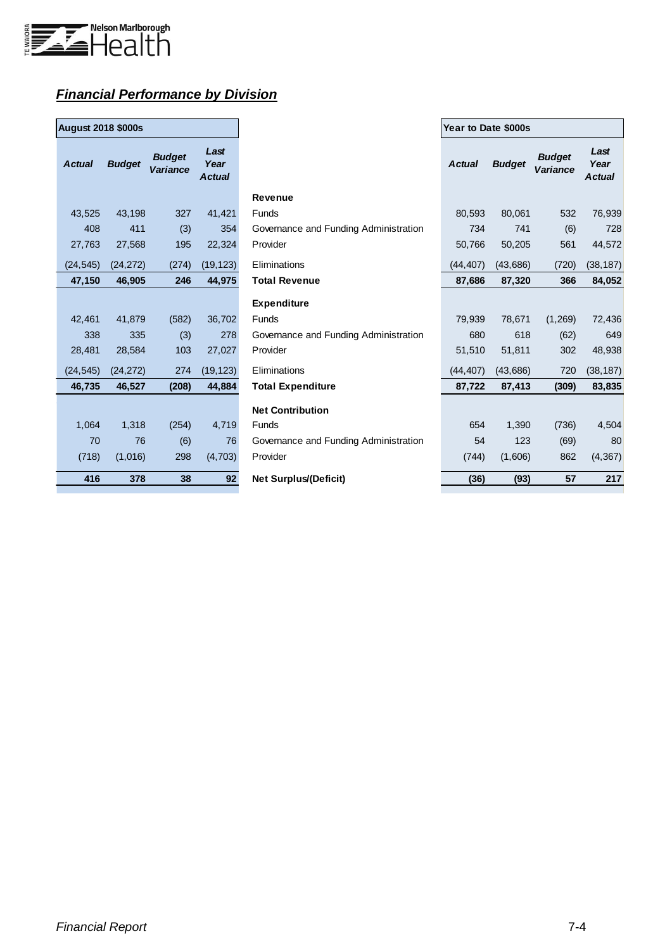

## *Financial Performance by Division*

| <b>August 2018 \$000s</b> |               |                           |                        |
|---------------------------|---------------|---------------------------|------------------------|
| <b>Actual</b>             | <b>Budget</b> | <b>Budget</b><br>Variance | Last<br>Year<br>Actual |
| 43,525                    | 43,198        | 327                       | 41,421                 |
| 408                       | 411           | (3)                       | 354                    |
| 27,763                    | 27,568        | 195                       | 22,324                 |
| (24, 545)                 | (24, 272)     | (274)                     | (19, 123)              |
| 47,150                    | 46,905        | 246                       | 44,975                 |
|                           |               |                           |                        |
| 42,461                    | 41,879        | (582)                     | 36,702                 |
| 338                       | 335           | (3)                       | 278                    |
| 28,481                    | 28,584        | 103                       | 27,027                 |
| (24, 545)                 | (24, 272)     | 274                       | (19, 123)              |
| 46,735                    | 46,527        | (208)                     | 44,884                 |
|                           |               |                           |                        |
| 1,064                     | 1,318         | (254)                     | 4,719                  |
| 70                        | 76            | (6)                       | 76                     |
| (718)                     | (1,016)       | 298                       | (4, 703)               |
| 416                       | 378           | 38                        | 92                     |

| <b>August 2018 \$000s</b> |               |                                  |                               |                                       | Year to Date \$000s |               |                           |                               |  |
|---------------------------|---------------|----------------------------------|-------------------------------|---------------------------------------|---------------------|---------------|---------------------------|-------------------------------|--|
| <b>Actual</b>             | <b>Budget</b> | <b>Budget</b><br><b>Variance</b> | Last<br>Year<br><b>Actual</b> |                                       | <b>Actual</b>       | <b>Budget</b> | <b>Budget</b><br>Variance | Last<br>Year<br><b>Actual</b> |  |
|                           |               |                                  |                               | <b>Revenue</b>                        |                     |               |                           |                               |  |
| 43,525                    | 43,198        | 327                              | 41,421                        | <b>Funds</b>                          | 80,593              | 80,061        | 532                       | 76,939                        |  |
| 408                       | 411           | (3)                              | 354                           | Governance and Funding Administration | 734                 | 741           | (6)                       | 728                           |  |
| 27,763                    | 27,568        | 195                              | 22,324                        | Provider                              | 50,766              | 50,205        | 561                       | 44,572                        |  |
| (24, 545)                 | (24, 272)     | (274)                            | (19, 123)                     | Eliminations                          | (44, 407)           | (43,686)      | (720)                     | (38, 187)                     |  |
| 47,150                    | 46,905        | 246                              | 44,975                        | <b>Total Revenue</b>                  | 87,686              | 87,320        | 366                       | 84,052                        |  |
|                           |               |                                  |                               | <b>Expenditure</b>                    |                     |               |                           |                               |  |
| 42,461                    | 41,879        | (582)                            | 36,702                        | <b>Funds</b>                          | 79,939              | 78.671        | (1, 269)                  | 72,436                        |  |
| 338                       | 335           | (3)                              | 278                           | Governance and Funding Administration | 680                 | 618           | (62)                      | 649                           |  |
| 28.481                    | 28,584        | 103                              | 27,027                        | Provider                              | 51.510              | 51,811        | 302                       | 48,938                        |  |
| (24, 545)                 | (24, 272)     | 274                              | (19, 123)                     | Eliminations                          | (44, 407)           | (43,686)      | 720                       | (38, 187)                     |  |
| 46,735                    | 46,527        | (208)                            | 44,884                        | <b>Total Expenditure</b>              | 87,722              | 87,413        | (309)                     | 83,835                        |  |
|                           |               |                                  |                               | <b>Net Contribution</b>               |                     |               |                           |                               |  |
| 1,064                     | 1,318         | (254)                            | 4,719                         | <b>Funds</b>                          | 654                 | 1,390         | (736)                     | 4,504                         |  |
| 70                        | 76            | (6)                              | 76                            | Governance and Funding Administration | 54                  | 123           | (69)                      | 80                            |  |
| (718)                     | (1,016)       | 298                              | (4,703)                       | Provider                              | (744)               | (1,606)       | 862                       | (4, 367)                      |  |
| 416                       | 378           | 38                               | 92                            | <b>Net Surplus/(Deficit)</b>          | (36)                | (93)          | 57                        | 217                           |  |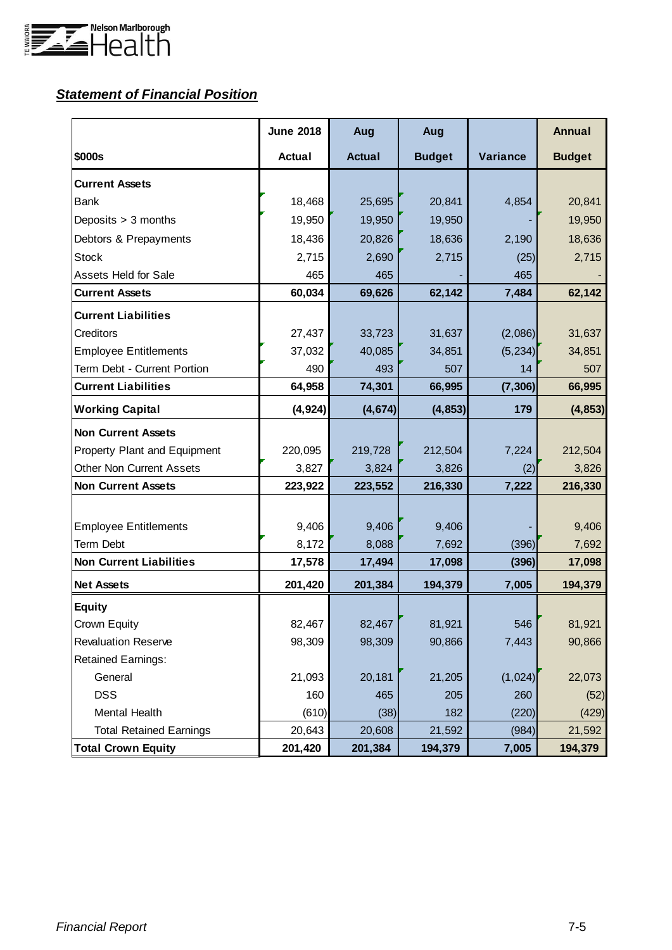

## *Statement of Financial Position*

|                                 | <b>June 2018</b> | Aug           | Aug           |          | <b>Annual</b> |
|---------------------------------|------------------|---------------|---------------|----------|---------------|
| \$000s                          | <b>Actual</b>    | <b>Actual</b> | <b>Budget</b> | Variance | <b>Budget</b> |
| <b>Current Assets</b>           |                  |               |               |          |               |
| <b>Bank</b>                     | 18,468           | 25,695        | 20,841        | 4,854    | 20,841        |
| Deposits > 3 months             | 19,950           | 19,950        | 19,950        |          | 19,950        |
| Debtors & Prepayments           | 18,436           | 20,826        | 18,636        | 2,190    | 18,636        |
| <b>Stock</b>                    | 2,715            | 2,690         | 2,715         | (25)     | 2,715         |
| <b>Assets Held for Sale</b>     | 465              | 465           |               | 465      |               |
| <b>Current Assets</b>           | 60,034           | 69,626        | 62,142        | 7,484    | 62,142        |
| <b>Current Liabilities</b>      |                  |               |               |          |               |
| Creditors                       | 27,437           | 33,723        | 31,637        | (2,086)  | 31,637        |
| <b>Employee Entitlements</b>    | 37,032           | 40,085        | 34,851        | (5, 234) | 34,851        |
| Term Debt - Current Portion     | 490              | 493           | 507           | 14       | 507           |
| <b>Current Liabilities</b>      | 64,958           | 74,301        | 66,995        | (7, 306) | 66,995        |
| <b>Working Capital</b>          | (4, 924)         | (4, 674)      | (4, 853)      | 179      | (4, 853)      |
| <b>Non Current Assets</b>       |                  |               |               |          |               |
| Property Plant and Equipment    | 220,095          | 219,728       | 212,504       | 7,224    | 212,504       |
| <b>Other Non Current Assets</b> | 3,827            | 3,824         | 3,826         | (2)      | 3,826         |
| <b>Non Current Assets</b>       | 223,922          | 223,552       | 216,330       | 7,222    | 216,330       |
|                                 |                  |               |               |          |               |
| <b>Employee Entitlements</b>    | 9,406            | 9,406         | 9,406         |          | 9,406         |
| Term Debt                       | 8,172            | 8,088         | 7,692         | (396)    | 7,692         |
| <b>Non Current Liabilities</b>  | 17,578           | 17,494        | 17,098        | (396)    | 17,098        |
| <b>Net Assets</b>               | 201,420          | 201,384       | 194,379       | 7,005    | 194,379       |
| <b>Equity</b>                   |                  |               |               |          |               |
| Crown Equity                    | 82,467           | 82,467        | 81,921        | 546      | 81,921        |
| <b>Revaluation Reserve</b>      | 98,309           | 98,309        | 90,866        | 7,443    | 90,866        |
| <b>Retained Earnings:</b>       |                  |               |               |          |               |
| General                         | 21,093           | 20,181        | 21,205        | (1,024)  | 22,073        |
| <b>DSS</b>                      | 160              | 465           | 205           | 260      | (52)          |
| Mental Health                   | (610)            | (38)          | 182           | (220)    | (429)         |
| <b>Total Retained Earnings</b>  | 20,643           | 20,608        | 21,592        | (984)    | 21,592        |
| <b>Total Crown Equity</b>       | 201,420          | 201,384       | 194,379       | 7,005    | 194,379       |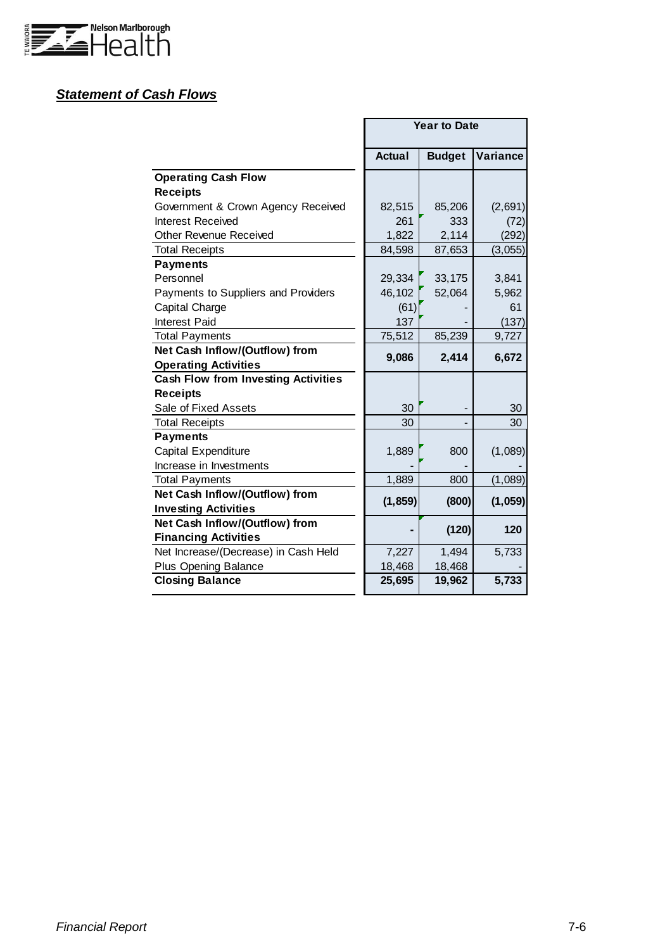

## *Statement of Cash Flows*

|                                            |               | <b>Year to Date</b> |          |
|--------------------------------------------|---------------|---------------------|----------|
|                                            | <b>Actual</b> | <b>Budget</b>       | Variance |
| <b>Operating Cash Flow</b>                 |               |                     |          |
| <b>Receipts</b>                            |               |                     |          |
| Government & Crown Agency Received         | 82,515        | 85,206              | (2,691)  |
| <b>Interest Received</b>                   | 261           | 333                 | (72)     |
| Other Revenue Received                     | 1,822         | 2,114               | (292)    |
| <b>Total Receipts</b>                      | 84,598        | 87,653              | (3,055)  |
| <b>Payments</b>                            |               |                     |          |
| Personnel                                  | 29,334        | 33,175              | 3,841    |
| Payments to Suppliers and Providers        | 46,102        | 52,064              | 5,962    |
| Capital Charge                             | (61)          |                     | 61       |
| Interest Paid                              | 137           |                     | (137)    |
| <b>Total Payments</b>                      | 75,512        | 85,239              | 9,727    |
| Net Cash Inflow/(Outflow) from             | 9,086         | 2,414               | 6,672    |
| <b>Operating Activities</b>                |               |                     |          |
| <b>Cash Flow from Investing Activities</b> |               |                     |          |
| <b>Receipts</b>                            |               |                     |          |
| Sale of Fixed Assets                       | 30            |                     | 30       |
| <b>Total Receipts</b>                      | 30            |                     | 30       |
| <b>Payments</b>                            |               |                     |          |
| Capital Expenditure                        | 1,889         | 800                 | (1,089)  |
| Increase in Investments                    |               |                     |          |
| <b>Total Payments</b>                      | 1,889         | 800                 | (1,089)  |
| Net Cash Inflow/(Outflow) from             | (1, 859)      | (800)               | (1,059)  |
| <b>Investing Activities</b>                |               |                     |          |
| Net Cash Inflow/(Outflow) from             |               | (120)               | 120      |
| <b>Financing Activities</b>                |               |                     |          |
| Net Increase/(Decrease) in Cash Held       | 7,227         | 1,494               | 5,733    |
| Plus Opening Balance                       | 18,468        | 18,468              |          |
| <b>Closing Balance</b>                     | 25,695        | 19,962              | 5,733    |